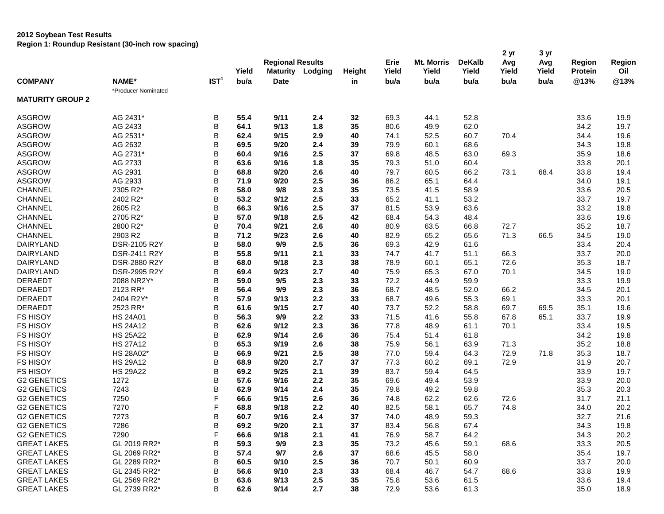## **2012 Soybean Test Results**

**Region 1: Roundup Resistant (30-inch row spacing)**

|                         |                     |                  | Yield | <b>Regional Results</b> | <b>Maturity Lodging</b> | Height | Erie<br>Yield | <b>Mt. Morris</b><br>Yield | <b>DeKalb</b><br>Yield | 2 yr<br>Avg<br>Yield | 3 yr<br>Avg<br>Yield | Region<br><b>Protein</b> | Region<br>Oil |
|-------------------------|---------------------|------------------|-------|-------------------------|-------------------------|--------|---------------|----------------------------|------------------------|----------------------|----------------------|--------------------------|---------------|
| <b>COMPANY</b>          | NAME*               | IST <sup>1</sup> | bu/a  | <b>Date</b>             |                         | in     | bu/a          | bu/a                       | bu/a                   | bu/a                 | bu/a                 | @13%                     | @13%          |
| <b>MATURITY GROUP 2</b> | *Producer Nominated |                  |       |                         |                         |        |               |                            |                        |                      |                      |                          |               |
| <b>ASGROW</b>           | AG 2431*            | В                | 55.4  | 9/11                    | 2.4                     | 32     | 69.3          | 44.1                       | 52.8                   |                      |                      | 33.6                     | 19.9          |
| <b>ASGROW</b>           | AG 2433             | B                | 64.1  | 9/13                    | 1.8                     | 35     | 80.6          | 49.9                       | 62.0                   |                      |                      | 34.2                     | 19.7          |
| <b>ASGROW</b>           | AG 2531*            | B                | 62.4  | 9/15                    | 2.9                     | 40     | 74.1          | 52.5                       | 60.7                   | 70.4                 |                      | 34.4                     | 19.6          |
| <b>ASGROW</b>           | AG 2632             | B                | 69.5  | 9/20                    | 2.4                     | 39     | 79.9          | 60.1                       | 68.6                   |                      |                      | 34.3                     | 19.8          |
| <b>ASGROW</b>           | AG 2731*            | B                | 60.4  | 9/16                    | 2.5                     | 37     | 69.8          | 48.5                       | 63.0                   | 69.3                 |                      | 35.9                     | 18.6          |
| <b>ASGROW</b>           | AG 2733             | B                | 63.6  | 9/16                    | 1.8                     | 35     | 79.3          | 51.0                       | 60.4                   |                      |                      | 33.8                     | 20.1          |
| <b>ASGROW</b>           | AG 2931             | B                | 68.8  | 9/20                    | 2.6                     | 40     | 79.7          | 60.5                       | 66.2                   | 73.1                 | 68.4                 | 33.8                     | 19.4          |
| <b>ASGROW</b>           | AG 2933             | B                | 71.9  | 9/20                    | 2.5                     | 36     | 86.2          | 65.1                       | 64.4                   |                      |                      | 34.0                     | 19.1          |
| <b>CHANNEL</b>          | 2305 R2*            | B                | 58.0  | 9/8                     | 2.3                     | 35     | 73.5          | 41.5                       | 58.9                   |                      |                      | 33.6                     | 20.5          |
| <b>CHANNEL</b>          | 2402 R2*            | B                | 53.2  | 9/12                    | 2.5                     | 33     | 65.2          | 41.1                       | 53.2                   |                      |                      | 33.7                     | 19.7          |
| <b>CHANNEL</b>          | 2605 R2             | B                | 66.3  | 9/16                    | 2.5                     | 37     | 81.5          | 53.9                       | 63.6                   |                      |                      | 33.2                     | 19.8          |
| <b>CHANNEL</b>          | 2705 R2*            | B                | 57.0  | 9/18                    | 2.5                     | 42     | 68.4          | 54.3                       | 48.4                   |                      |                      | 33.6                     | 19.6          |
| <b>CHANNEL</b>          | 2800 R2*            | B                | 70.4  | 9/21                    | 2.6                     | 40     | 80.9          | 63.5                       | 66.8                   | 72.7                 |                      | 35.2                     | 18.7          |
| <b>CHANNEL</b>          | 2903 R2             | B                | 71.2  | 9/23                    | 2.6                     | 40     | 82.9          | 65.2                       | 65.6                   | 71.3                 | 66.5                 | 34.5                     | 19.0          |
| DAIRYLAND               | DSR-2105 R2Y        | B                | 58.0  | 9/9                     | 2.5                     | 36     | 69.3          | 42.9                       | 61.6                   |                      |                      | 33.4                     | 20.4          |
| DAIRYLAND               | DSR-2411 R2Y        | B                | 55.8  | 9/11                    | 2.1                     | 33     | 74.7          | 41.7                       | 51.1                   | 66.3                 |                      | 33.7                     | 20.0          |
| <b>DAIRYLAND</b>        | DSR-2880 R2Y        | B                | 68.0  | 9/18                    | 2.3                     | 38     | 78.9          | 60.1                       | 65.1                   | 72.6                 |                      | 35.3                     | 18.7          |
| <b>DAIRYLAND</b>        | DSR-2995 R2Y        | B                | 69.4  | 9/23                    | 2.7                     | 40     | 75.9          | 65.3                       | 67.0                   | 70.1                 |                      | 34.5                     | 19.0          |
| <b>DERAEDT</b>          | 2088 NR2Y*          | B                | 59.0  | 9/5                     | 2.3                     | 33     | 72.2          | 44.9                       | 59.9                   |                      |                      | 33.3                     | 19.9          |
| <b>DERAEDT</b>          | 2123 RR*            | B                | 56.4  | 9/9                     | 2.3                     | 36     | 68.7          | 48.5                       | 52.0                   | 66.2                 |                      | 34.5                     | 20.1          |
| <b>DERAEDT</b>          | 2404 R2Y*           | B                | 57.9  | 9/13                    | 2.2                     | 33     | 68.7          | 49.6                       | 55.3                   | 69.1                 |                      | 33.3                     | 20.1          |
| <b>DERAEDT</b>          | 2523 RR*            | B                | 61.6  | 9/15                    | 2.7                     | 40     | 73.7          | 52.2                       | 58.8                   | 69.7                 | 69.5                 | 35.1                     | 19.6          |
| <b>FS HISOY</b>         | <b>HS 24A01</b>     | B                | 56.3  | 9/9                     | 2.2                     | 33     | 71.5          | 41.6                       | 55.8                   | 67.8                 | 65.1                 | 33.7                     | 19.9          |
| <b>FS HISOY</b>         | <b>HS 24A12</b>     | B                | 62.6  | 9/12                    | 2.3                     | 36     | 77.8          | 48.9                       | 61.1                   | 70.1                 |                      | 33.4                     | 19.5          |
| <b>FS HISOY</b>         | <b>HS 25A22</b>     | B                | 62.9  | 9/14                    | 2.6                     | 36     | 75.4          | 51.4                       | 61.8                   |                      |                      | 34.2                     | 19.8          |
| <b>FS HISOY</b>         | <b>HS 27A12</b>     | B                | 65.3  | 9/19                    | 2.6                     | 38     | 75.9          | 56.1                       | 63.9                   | 71.3                 |                      | 35.2                     | 18.8          |
| <b>FS HISOY</b>         | HS 28A02*           | B                | 66.9  | 9/21                    | 2.5                     | 38     | 77.0          | 59.4                       | 64.3                   | 72.9                 | 71.8                 | 35.3                     | 18.7          |
| <b>FS HISOY</b>         | <b>HS 29A12</b>     | B                | 68.9  | 9/20                    | 2.7                     | 37     | 77.3          | 60.2                       | 69.1                   | 72.9                 |                      | 31.9                     | 20.7          |
| <b>FS HISOY</b>         | <b>HS 29A22</b>     | B                | 69.2  | 9/25                    | 2.1                     | 39     | 83.7          | 59.4                       | 64.5                   |                      |                      | 33.9                     | 19.7          |
| <b>G2 GENETICS</b>      | 1272                | B                | 57.6  | 9/16                    | 2.2                     | 35     | 69.6          | 49.4                       | 53.9                   |                      |                      | 33.9                     | 20.0          |
| <b>G2 GENETICS</b>      | 7243                | B                | 62.9  | 9/14                    | 2.4                     | 35     | 79.8          | 49.2                       | 59.8                   |                      |                      | 35.3                     | 20.3          |
| <b>G2 GENETICS</b>      | 7250                | F                | 66.6  | 9/15                    | 2.6                     | 36     | 74.8          | 62.2                       | 62.6                   | 72.6                 |                      | 31.7                     | 21.1          |
| <b>G2 GENETICS</b>      | 7270                | F                | 68.8  | 9/18                    | 2.2                     | 40     | 82.5          | 58.1                       | 65.7                   | 74.8                 |                      | 34.0                     | 20.2          |
| <b>G2 GENETICS</b>      | 7273                | B                | 60.7  | 9/16                    | 2.4                     | 37     | 74.0          | 48.9                       | 59.3                   |                      |                      | 32.7                     | 21.6          |
| <b>G2 GENETICS</b>      | 7286                | B                | 69.2  | 9/20                    | 2.1                     | 37     | 83.4          | 56.8                       | 67.4                   |                      |                      | 34.3                     | 19.8          |
| <b>G2 GENETICS</b>      | 7290                | F                | 66.6  | 9/18                    | 2.1                     | 41     | 76.9          | 58.7                       | 64.2                   |                      |                      | 34.3                     | 20.2          |
| <b>GREAT LAKES</b>      | GL 2019 RR2*        | B                | 59.3  | 9/9                     | 2.3                     | 35     | 73.2          | 45.6                       | 59.1                   | 68.6                 |                      | 33.3                     | 20.5          |
| <b>GREAT LAKES</b>      | GL 2069 RR2*        | B                | 57.4  | 9/7                     | 2.6                     | 37     | 68.6          | 45.5                       | 58.0                   |                      |                      | 35.4                     | 19.7          |
| <b>GREAT LAKES</b>      | GL 2289 RR2*        | B                | 60.5  | 9/10                    | 2.5                     | 36     | 70.7          | 50.1                       | 60.9                   |                      |                      | 33.7                     | 20.0          |
| <b>GREAT LAKES</b>      | GL 2345 RR2*        | B                | 56.6  | 9/10                    | 2.3                     | 33     | 68.4          | 46.7                       | 54.7                   | 68.6                 |                      | 33.8                     | 19.9          |
| <b>GREAT LAKES</b>      | GL 2569 RR2*        | B                | 63.6  | 9/13                    | 2.5                     | 35     | 75.8          | 53.6                       | 61.5                   |                      |                      | 33.6                     | 19.4          |
| <b>GREAT LAKES</b>      | GL 2739 RR2*        | В                | 62.6  | 9/14                    | 2.7                     | 38     | 72.9          | 53.6                       | 61.3                   |                      |                      | 35.0                     | 18.9          |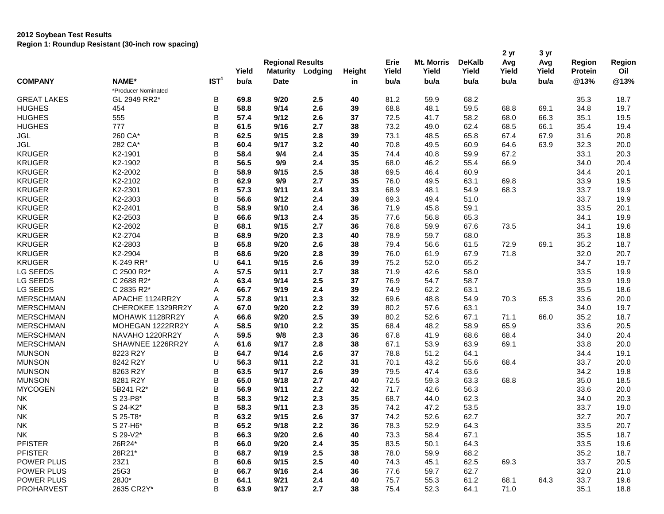## **2012 Soybean Test Results**

**Region 1: Roundup Resistant (30-inch row spacing)**

|                    |                     |                  | Yield | <b>Regional Results</b><br><b>Maturity</b> | Lodging | Height | Erie<br>Yield | Mt. Morris<br>Yield | <b>DeKalb</b><br>Yield | 2 yr<br>Avg<br>Yield | 3 yr<br>Avg<br>Yield | Region<br><b>Protein</b> | Region<br>Oil |
|--------------------|---------------------|------------------|-------|--------------------------------------------|---------|--------|---------------|---------------------|------------------------|----------------------|----------------------|--------------------------|---------------|
| <b>COMPANY</b>     | NAME*               | IST <sup>1</sup> | bu/a  | <b>Date</b>                                |         | in     | bu/a          | bu/a                | bu/a                   | bu/a                 | bu/a                 | @13%                     | @13%          |
|                    | *Producer Nominated |                  |       |                                            |         |        |               |                     |                        |                      |                      |                          |               |
| <b>GREAT LAKES</b> | GL 2949 RR2*        | B                | 69.8  | 9/20                                       | 2.5     | 40     | 81.2          | 59.9                | 68.2                   |                      |                      | 35.3                     | 18.7          |
| <b>HUGHES</b>      | 454                 | B                | 58.8  | 9/14                                       | 2.6     | 39     | 68.8          | 48.1                | 59.5                   | 68.8                 | 69.1                 | 34.8                     | 19.7          |
| <b>HUGHES</b>      | 555                 | B                | 57.4  | 9/12                                       | 2.6     | 37     | 72.5          | 41.7                | 58.2                   | 68.0                 | 66.3                 | 35.1                     | 19.5          |
| <b>HUGHES</b>      | 777                 | B                | 61.5  | 9/16                                       | 2.7     | 38     | 73.2          | 49.0                | 62.4                   | 68.5                 | 66.1                 | 35.4                     | 19.4          |
| JGL                | 260 CA*             | B                | 62.5  | 9/15                                       | 2.8     | 39     | 73.1          | 48.5                | 65.8                   | 67.4                 | 67.9                 | 31.6                     | 20.8          |
| <b>JGL</b>         | 282 CA*             | B                | 60.4  | 9/17                                       | 3.2     | 40     | 70.8          | 49.5                | 60.9                   | 64.6                 | 63.9                 | 32.3                     | 20.0          |
| <b>KRUGER</b>      | K2-1901             | B                | 58.4  | 9/4                                        | 2.4     | 35     | 74.4          | 40.8                | 59.9                   | 67.2                 |                      | 33.1                     | 20.3          |
| <b>KRUGER</b>      | K2-1902             | B                | 56.5  | 9/9                                        | 2.4     | 35     | 68.0          | 46.2                | 55.4                   | 66.9                 |                      | 34.0                     | 20.4          |
| <b>KRUGER</b>      | K2-2002             | B                | 58.9  | 9/15                                       | 2.5     | 38     | 69.5          | 46.4                | 60.9                   |                      |                      | 34.4                     | 20.1          |
| <b>KRUGER</b>      | K2-2102             | B                | 62.9  | 9/9                                        | 2.7     | 35     | 76.0          | 49.5                | 63.1                   | 69.8                 |                      | 33.9                     | 19.5          |
| <b>KRUGER</b>      | K2-2301             | B                | 57.3  | 9/11                                       | 2.4     | 33     | 68.9          | 48.1                | 54.9                   | 68.3                 |                      | 33.7                     | 19.9          |
| <b>KRUGER</b>      | K2-2303             | B                | 56.6  | 9/12                                       | 2.4     | 39     | 69.3          | 49.4                | 51.0                   |                      |                      | 33.7                     | 19.9          |
| <b>KRUGER</b>      | K2-2401             | B                | 58.9  | 9/10                                       | 2.4     | 36     | 71.9          | 45.8                | 59.1                   |                      |                      | 33.5                     | 20.1          |
| <b>KRUGER</b>      | K2-2503             | B                | 66.6  | 9/13                                       | 2.4     | 35     | 77.6          | 56.8                | 65.3                   |                      |                      | 34.1                     | 19.9          |
| <b>KRUGER</b>      | K2-2602             | B                | 68.1  | 9/15                                       | 2.7     | 36     | 76.8          | 59.9                | 67.6                   | 73.5                 |                      | 34.1                     | 19.6          |
| <b>KRUGER</b>      | K2-2704             | B                | 68.9  | 9/20                                       | 2.3     | 40     | 78.9          | 59.7                | 68.0                   |                      |                      | 35.3                     | 18.8          |
| <b>KRUGER</b>      | K2-2803             | B                | 65.8  | 9/20                                       | 2.6     | 38     | 79.4          | 56.6                | 61.5                   | 72.9                 | 69.1                 | 35.2                     | 18.7          |
| <b>KRUGER</b>      | K2-2904             | B                | 68.6  | 9/20                                       | 2.8     | 39     | 76.0          | 61.9                | 67.9                   | 71.8                 |                      | 32.0                     | 20.7          |
| <b>KRUGER</b>      | K-249 RR*           | U                | 64.1  | 9/15                                       | 2.6     | 39     | 75.2          | 52.0                | 65.2                   |                      |                      | 34.7                     | 19.7          |
| LG SEEDS           | C 2500 R2*          | Α                | 57.5  | 9/11                                       | 2.7     | 38     | 71.9          | 42.6                | 58.0                   |                      |                      | 33.5                     | 19.9          |
| LG SEEDS           | C 2688 R2*          | Α                | 63.4  | 9/14                                       | 2.5     | 37     | 76.9          | 54.7                | 58.7                   |                      |                      | 33.9                     | 19.9          |
| LG SEEDS           | C 2835 R2*          | Α                | 66.7  | 9/19                                       | 2.4     | 39     | 74.9          | 62.2                | 63.1                   |                      |                      | 35.5                     | 18.6          |
| <b>MERSCHMAN</b>   | APACHE 1124RR2Y     | Α                | 57.8  | 9/11                                       | 2.3     | 32     | 69.6          | 48.8                | 54.9                   | 70.3                 | 65.3                 | 33.6                     | 20.0          |
| <b>MERSCHMAN</b>   | CHEROKEE 1329RR2Y   | Α                | 67.0  | 9/20                                       | 2.2     | 39     | 80.2          | 57.6                | 63.1                   |                      |                      | 34.0                     | 19.7          |
| <b>MERSCHMAN</b>   | MOHAWK 1128RR2Y     | Α                | 66.6  | 9/20                                       | 2.5     | 39     | 80.2          | 52.6                | 67.1                   | 71.1                 | 66.0                 | 35.2                     | 18.7          |
| <b>MERSCHMAN</b>   | MOHEGAN 1222RR2Y    | Α                | 58.5  | 9/10                                       | 2.2     | 35     | 68.4          | 48.2                | 58.9                   | 65.9                 |                      | 33.6                     | 20.5          |
| <b>MERSCHMAN</b>   | NAVAHO 1220RR2Y     | А                | 59.5  | 9/8                                        | 2.3     | 36     | 67.8          | 41.9                | 68.6                   | 68.4                 |                      | 34.0                     | 20.4          |
| <b>MERSCHMAN</b>   | SHAWNEE 1226RR2Y    | Α                | 61.6  | 9/17                                       | 2.8     | 38     | 67.1          | 53.9                | 63.9                   | 69.1                 |                      | 33.8                     | 20.0          |
| <b>MUNSON</b>      | 8223 R2Y            | В                | 64.7  | 9/14                                       | 2.6     | 37     | 78.8          | 51.2                | 64.1                   |                      |                      | 34.4                     | 19.1          |
| <b>MUNSON</b>      | 8242 R2Y            | U                | 56.3  | 9/11                                       | 2.2     | 31     | 70.1          | 43.2                | 55.6                   | 68.4                 |                      | 33.7                     | 20.0          |
| <b>MUNSON</b>      | 8263 R2Y            | B                | 63.5  | 9/17                                       | 2.6     | 39     | 79.5          | 47.4                | 63.6                   |                      |                      | 34.2                     | 19.8          |
| <b>MUNSON</b>      | 8281 R2Y            | B                | 65.0  | 9/18                                       | 2.7     | 40     | 72.5          | 59.3                | 63.3                   | 68.8                 |                      | 35.0                     | 18.5          |
| <b>MYCOGEN</b>     | 5B241 R2*           | B                | 56.9  | 9/11                                       | 2.2     | 32     | 71.7          | 42.6                | 56.3                   |                      |                      | 33.6                     | 20.0          |
| NK                 | S 23-P8*            | В                | 58.3  | 9/12                                       | 2.3     | 35     | 68.7          | 44.0                | 62.3                   |                      |                      | 34.0                     | 20.3          |
| <b>NK</b>          | S 24-K2*            | B                | 58.3  | 9/11                                       | 2.3     | 35     | 74.2          | 47.2                | 53.5                   |                      |                      | 33.7                     | 19.0          |
| <b>NK</b>          | S 25-T8*            | B                | 63.2  | 9/15                                       | 2.6     | 37     | 74.2          | 52.6                | 62.7                   |                      |                      | 32.7                     | 20.7          |
| <b>NK</b>          | S 27-H6*            | B                | 65.2  | 9/18                                       | $2.2\,$ | 36     | 78.3          | 52.9                | 64.3                   |                      |                      | 33.5                     | 20.7          |
| NΚ                 | S 29-V2*            | B                | 66.3  | 9/20                                       | 2.6     | 40     | 73.3          | 58.4                | 67.1                   |                      |                      | 35.5                     | 18.7          |
| <b>PFISTER</b>     | 26R24*              | B                | 66.0  | 9/20                                       | 2.4     | 35     | 83.5          | 50.1                | 64.3                   |                      |                      | 33.5                     | 19.6          |
| <b>PFISTER</b>     | 28R21*              | B                | 68.7  | 9/19                                       | 2.5     | 38     | 78.0          | 59.9                | 68.2                   |                      |                      | 35.2                     | 18.7          |
| POWER PLUS         | 23Z1                | B                | 60.6  | 9/15                                       | 2.5     | 40     | 74.3          | 45.1                | 62.5                   | 69.3                 |                      | 33.7                     | 20.5          |
| POWER PLUS         | 25G3                | B                | 66.7  | 9/16                                       | 2.4     | 36     | 77.6          | 59.7                | 62.7                   |                      |                      | 32.0                     | 21.0          |
| POWER PLUS         | 28J0*               | B                | 64.1  | 9/21                                       | 2.4     | 40     | 75.7          | 55.3                | 61.2                   | 68.1                 | 64.3                 | 33.7                     | 19.6          |
| PROHARVEST         | 2635 CR2Y*          | B                | 63.9  | 9/17                                       | 2.7     | 38     | 75.4          | 52.3                | 64.1                   | 71.0                 |                      | 35.1                     | 18.8          |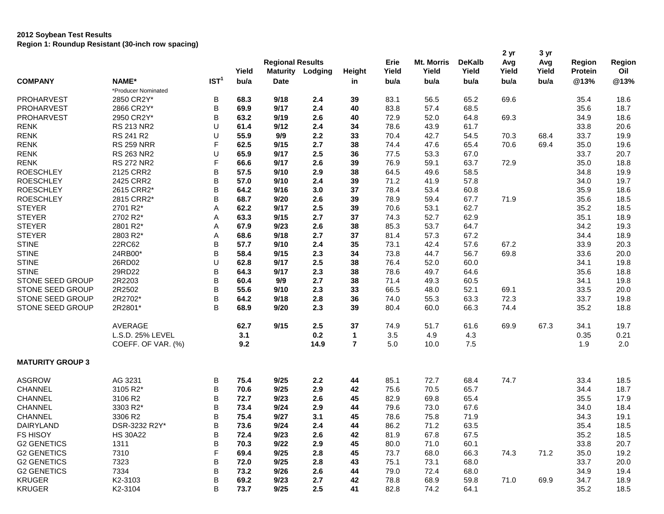## **2012 Soybean Test Results Region 1: Roundup Resistant (30-inch row spacing)**

|                         |                     |                  | Yield | <b>Regional Results</b><br><b>Maturity</b> | Lodging | <b>Height</b>  | Erie<br>Yield | <b>Mt. Morris</b><br>Yield | <b>DeKalb</b><br>Yield | 2 yr<br>Avg<br>Yield | 3 yr<br>Avg<br>Yield | <b>Region</b><br>Protein | Region<br>Oil |
|-------------------------|---------------------|------------------|-------|--------------------------------------------|---------|----------------|---------------|----------------------------|------------------------|----------------------|----------------------|--------------------------|---------------|
| <b>COMPANY</b>          | NAME*               | IST <sup>1</sup> | bu/a  | <b>Date</b>                                |         | in             | bu/a          | bu/a                       | bu/a                   | bu/a                 | bu/a                 | @13%                     | @13%          |
|                         | *Producer Nominated |                  |       |                                            |         |                |               |                            |                        |                      |                      |                          |               |
| <b>PROHARVEST</b>       | 2850 CR2Y*          | B                | 68.3  | 9/18                                       | 2.4     | 39             | 83.1          | 56.5                       | 65.2                   | 69.6                 |                      | 35.4                     | 18.6          |
| <b>PROHARVEST</b>       | 2866 CR2Y*          | B                | 69.9  | 9/17                                       | 2.4     | 40             | 83.8          | 57.4                       | 68.5                   |                      |                      | 35.6                     | 18.7          |
| <b>PROHARVEST</b>       | 2950 CR2Y*          | B                | 63.2  | 9/19                                       | 2.6     | 40             | 72.9          | 52.0                       | 64.8                   | 69.3                 |                      | 34.9                     | 18.6          |
| <b>RENK</b>             | RS 213 NR2          | U                | 61.4  | 9/12                                       | 2.4     | 34             | 78.6          | 43.9                       | 61.7                   |                      |                      | 33.8                     | 20.6          |
| <b>RENK</b>             | RS 241 R2           | U                | 55.9  | 9/9                                        | 2.2     | 33             | 70.4          | 42.7                       | 54.5                   | 70.3                 | 68.4                 | 33.7                     | 19.9          |
| <b>RENK</b>             | <b>RS 259 NRR</b>   | F                | 62.5  | 9/15                                       | 2.7     | 38             | 74.4          | 47.6                       | 65.4                   | 70.6                 | 69.4                 | 35.0                     | 19.6          |
| <b>RENK</b>             | <b>RS 263 NR2</b>   | U                | 65.9  | 9/17                                       | 2.5     | 36             | 77.5          | 53.3                       | 67.0                   |                      |                      | 33.7                     | 20.7          |
| <b>RENK</b>             | <b>RS 272 NR2</b>   | F                | 66.6  | 9/17                                       | 2.6     | 39             | 76.9          | 59.1                       | 63.7                   | 72.9                 |                      | 35.0                     | 18.8          |
| <b>ROESCHLEY</b>        | 2125 CRR2           | B                | 57.5  | 9/10                                       | 2.9     | 38             | 64.5          | 49.6                       | 58.5                   |                      |                      | 34.8                     | 19.9          |
| <b>ROESCHLEY</b>        | 2425 CRR2           | B                | 57.0  | 9/10                                       | 2.4     | 39             | 71.2          | 41.9                       | 57.8                   |                      |                      | 34.0                     | 19.7          |
| <b>ROESCHLEY</b>        | 2615 CRR2*          | B                | 64.2  | 9/16                                       | 3.0     | 37             | 78.4          | 53.4                       | 60.8                   |                      |                      | 35.9                     | 18.6          |
| <b>ROESCHLEY</b>        | 2815 CRR2*          | B                | 68.7  | 9/20                                       | 2.6     | 39             | 78.9          | 59.4                       | 67.7                   | 71.9                 |                      | 35.6                     | 18.5          |
| <b>STEYER</b>           | 2701 R2*            | A                | 62.2  | 9/17                                       | 2.5     | 39             | 70.6          | 53.1                       | 62.7                   |                      |                      | 35.2                     | 18.5          |
| <b>STEYER</b>           | 2702 R2*            | Α                | 63.3  | 9/15                                       | 2.7     | 37             | 74.3          | 52.7                       | 62.9                   |                      |                      | 35.1                     | 18.9          |
| <b>STEYER</b>           | 2801 R2*            | Α                | 67.9  | 9/23                                       | 2.6     | 38             | 85.3          | 53.7                       | 64.7                   |                      |                      | 34.2                     | 19.3          |
| <b>STEYER</b>           | 2803 R2*            | Α                | 68.6  | 9/18                                       | 2.7     | 37             | 81.4          | 57.3                       | 67.2                   |                      |                      | 34.4                     | 18.9          |
| <b>STINE</b>            | 22RC62              | B                | 57.7  | 9/10                                       | 2.4     | 35             | 73.1          | 42.4                       | 57.6                   | 67.2                 |                      | 33.9                     | 20.3          |
| <b>STINE</b>            | 24RB00*             | B                | 58.4  | 9/15                                       | 2.3     | 34             | 73.8          | 44.7                       | 56.7                   | 69.8                 |                      | 33.6                     | 20.0          |
| <b>STINE</b>            | 26RD02              | U                | 62.8  | 9/17                                       | 2.5     | 38             | 76.4          | 52.0                       | 60.0                   |                      |                      | 34.1                     | 19.8          |
| <b>STINE</b>            | 29RD22              | B                | 64.3  | 9/17                                       | 2.3     | 38             | 78.6          | 49.7                       | 64.6                   |                      |                      | 35.6                     | 18.8          |
| <b>STONE SEED GROUP</b> | 2R2203              | B                | 60.4  | 9/9                                        | 2.7     | 38             | 71.4          | 49.3                       | 60.5                   |                      |                      | 34.1                     | 19.8          |
| STONE SEED GROUP        | 2R2502              | B                | 55.6  | 9/10                                       | 2.3     | 33             | 66.5          | 48.0                       | 52.1                   | 69.1                 |                      | 33.5                     | 20.0          |
| STONE SEED GROUP        | 2R2702*             | B                | 64.2  | 9/18                                       | 2.8     | 36             | 74.0          | 55.3                       | 63.3                   | 72.3                 |                      | 33.7                     | 19.8          |
| STONE SEED GROUP        | 2R2801*             | B                | 68.9  | 9/20                                       | 2.3     | 39             | 80.4          | 60.0                       | 66.3                   | 74.4                 |                      | 35.2                     | 18.8          |
|                         | AVERAGE             |                  | 62.7  | 9/15                                       | 2.5     | 37             | 74.9          | 51.7                       | 61.6                   | 69.9                 | 67.3                 | 34.1                     | 19.7          |
|                         | L.S.D. 25% LEVEL    |                  | 3.1   |                                            | 0.2     | $\mathbf 1$    | 3.5           | 4.9                        | 4.3                    |                      |                      | 0.35                     | 0.21          |
|                         | COEFF. OF VAR. (%)  |                  | 9.2   |                                            | 14.9    | $\overline{7}$ | 5.0           | 10.0                       | 7.5                    |                      |                      | 1.9                      | 2.0           |
| <b>MATURITY GROUP 3</b> |                     |                  |       |                                            |         |                |               |                            |                        |                      |                      |                          |               |
| <b>ASGROW</b>           | AG 3231             | B                | 75.4  | 9/25                                       | 2.2     | 44             | 85.1          | 72.7                       | 68.4                   | 74.7                 |                      | 33.4                     | 18.5          |
| CHANNEL                 | 3105 R2*            | B                | 70.6  | 9/25                                       | 2.9     | 42             | 75.6          | 70.5                       | 65.7                   |                      |                      | 34.4                     | 18.7          |
| CHANNEL                 | 3106 R2             | B                | 72.7  | 9/23                                       | 2.6     | 45             | 82.9          | 69.8                       | 65.4                   |                      |                      | 35.5                     | 17.9          |
| CHANNEL                 | 3303 R2*            | B                | 73.4  | 9/24                                       | 2.9     | 44             | 79.6          | 73.0                       | 67.6                   |                      |                      | 34.0                     | 18.4          |
| CHANNEL                 | 3306 R2             | B                | 75.4  | 9/27                                       | 3.1     | 45             | 78.6          | 75.8                       | 71.9                   |                      |                      | 34.3                     | 19.1          |
| DAIRYLAND               | DSR-3232 R2Y*       | B                | 73.6  | 9/24                                       | 2.4     | 44             | 86.2          | 71.2                       | 63.5                   |                      |                      | 35.4                     | 18.5          |
| <b>FS HISOY</b>         | <b>HS 30A22</b>     | B                | 72.4  | 9/23                                       | 2.6     | 42             | 81.9          | 67.8                       | 67.5                   |                      |                      | 35.2                     | 18.5          |
| <b>G2 GENETICS</b>      | 1311                | B                | 70.3  | 9/22                                       | 2.9     | 45             | 80.0          | 71.0                       | 60.1                   |                      |                      | 33.8                     | 20.7          |
| <b>G2 GENETICS</b>      | 7310                | F                | 69.4  | 9/25                                       | 2.8     | 45             | 73.7          | 68.0                       | 66.3                   | 74.3                 | 71.2                 | 35.0                     | 19.2          |
| <b>G2 GENETICS</b>      | 7323                | B                | 72.0  | 9/25                                       | 2.8     | 43             | 75.1          | 73.1                       | 68.0                   |                      |                      | 33.7                     | 20.0          |
| <b>G2 GENETICS</b>      | 7334                | B                | 73.2  | 9/26                                       | 2.6     | 44             | 79.0          | 72.4                       | 68.0                   |                      |                      | 34.9                     | 19.4          |
| <b>KRUGER</b>           | K2-3103             | B                | 69.2  | 9/23                                       | 2.7     | 42             | 78.8          | 68.9                       | 59.8                   | 71.0                 | 69.9                 | 34.7                     | 18.9          |
| <b>KRUGER</b>           | K2-3104             | B                | 73.7  | 9/25                                       | 2.5     | 41             | 82.8          | 74.2                       | 64.1                   |                      |                      | 35.2                     | 18.5          |